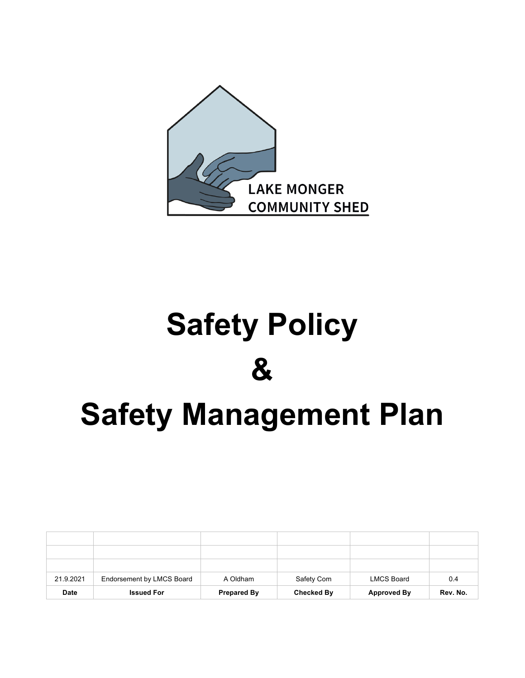

# **Safety Policy & Safety Management Plan**

| 21.9.2021 | Endorsement by LMCS Board | A Oldham           | Safety Com        | <b>LMCS Board</b>  | 0.4      |
|-----------|---------------------------|--------------------|-------------------|--------------------|----------|
| Date      | <b>Issued For</b>         | <b>Prepared By</b> | <b>Checked By</b> | <b>Approved By</b> | Rev. No. |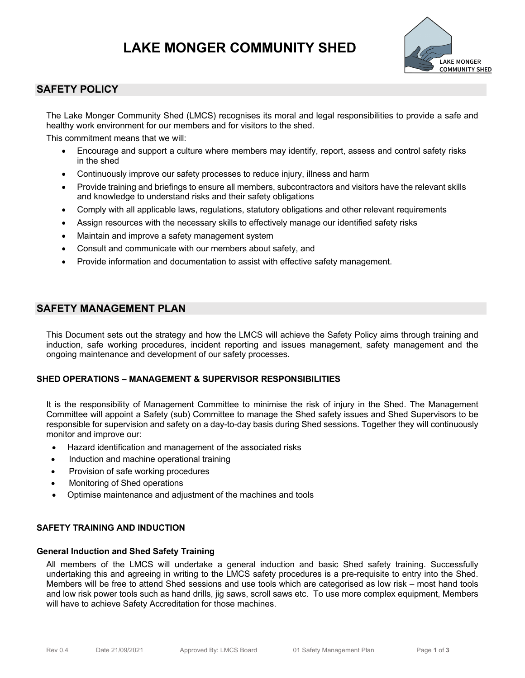# **LAKE MONGER COMMUNITY SHED**



## **SAFETY POLICY**

The Lake Monger Community Shed (LMCS) recognises its moral and legal responsibilities to provide a safe and healthy work environment for our members and for visitors to the shed.

This commitment means that we will:

- Encourage and support a culture where members may identify, report, assess and control safety risks in the shed
- Continuously improve our safety processes to reduce injury, illness and harm
- Provide training and briefings to ensure all members, subcontractors and visitors have the relevant skills and knowledge to understand risks and their safety obligations
- Comply with all applicable laws, regulations, statutory obligations and other relevant requirements
- Assign resources with the necessary skills to effectively manage our identified safety risks
- Maintain and improve a safety management system
- Consult and communicate with our members about safety, and
- Provide information and documentation to assist with effective safety management.

### **SAFETY MANAGEMENT PLAN**

This Document sets out the strategy and how the LMCS will achieve the Safety Policy aims through training and induction, safe working procedures, incident reporting and issues management, safety management and the ongoing maintenance and development of our safety processes.

#### **SHED OPERATIONS – MANAGEMENT & SUPERVISOR RESPONSIBILITIES**

It is the responsibility of Management Committee to minimise the risk of injury in the Shed. The Management Committee will appoint a Safety (sub) Committee to manage the Shed safety issues and Shed Supervisors to be responsible for supervision and safety on a day-to-day basis during Shed sessions. Together they will continuously monitor and improve our:

- Hazard identification and management of the associated risks
- Induction and machine operational training
- Provision of safe working procedures
- Monitoring of Shed operations
- Optimise maintenance and adjustment of the machines and tools

#### **SAFETY TRAINING AND INDUCTION**

#### **General Induction and Shed Safety Training**

All members of the LMCS will undertake a general induction and basic Shed safety training. Successfully undertaking this and agreeing in writing to the LMCS safety procedures is a pre-requisite to entry into the Shed. Members will be free to attend Shed sessions and use tools which are categorised as low risk – most hand tools and low risk power tools such as hand drills, jig saws, scroll saws etc. To use more complex equipment, Members will have to achieve Safety Accreditation for those machines.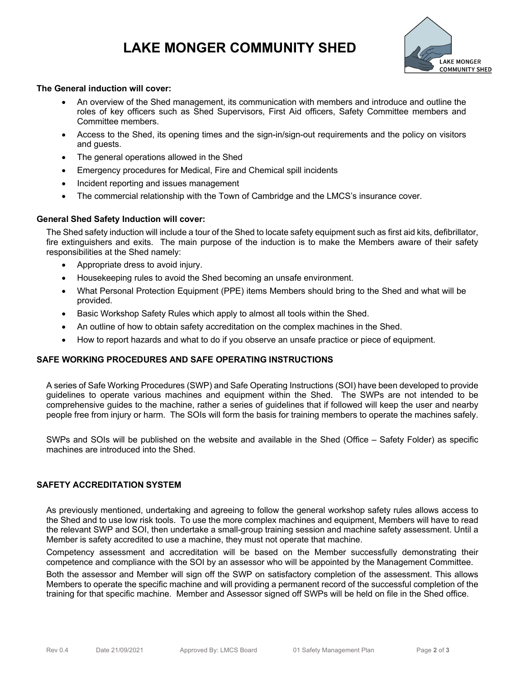## **LAKE MONGER COMMUNITY SHED**



#### **The General induction will cover:**

- An overview of the Shed management, its communication with members and introduce and outline the roles of key officers such as Shed Supervisors, First Aid officers, Safety Committee members and Committee members.
- Access to the Shed, its opening times and the sign-in/sign-out requirements and the policy on visitors and guests.
- The general operations allowed in the Shed
- Emergency procedures for Medical, Fire and Chemical spill incidents
- Incident reporting and issues management
- The commercial relationship with the Town of Cambridge and the LMCS's insurance cover.

#### **General Shed Safety Induction will cover:**

The Shed safety induction will include a tour of the Shed to locate safety equipment such as first aid kits, defibrillator, fire extinguishers and exits. The main purpose of the induction is to make the Members aware of their safety responsibilities at the Shed namely:

- Appropriate dress to avoid injury.
- Housekeeping rules to avoid the Shed becoming an unsafe environment.
- What Personal Protection Equipment (PPE) items Members should bring to the Shed and what will be provided.
- Basic Workshop Safety Rules which apply to almost all tools within the Shed.
- An outline of how to obtain safety accreditation on the complex machines in the Shed.
- How to report hazards and what to do if you observe an unsafe practice or piece of equipment.

#### **SAFE WORKING PROCEDURES AND SAFE OPERATING INSTRUCTIONS**

A series of Safe Working Procedures (SWP) and Safe Operating Instructions (SOI) have been developed to provide guidelines to operate various machines and equipment within the Shed. The SWPs are not intended to be comprehensive guides to the machine, rather a series of guidelines that if followed will keep the user and nearby people free from injury or harm. The SOIs will form the basis for training members to operate the machines safely.

SWPs and SOIs will be published on the website and available in the Shed (Office – Safety Folder) as specific machines are introduced into the Shed.

#### **SAFETY ACCREDITATION SYSTEM**

As previously mentioned, undertaking and agreeing to follow the general workshop safety rules allows access to the Shed and to use low risk tools. To use the more complex machines and equipment, Members will have to read the relevant SWP and SOI, then undertake a small-group training session and machine safety assessment. Until a Member is safety accredited to use a machine, they must not operate that machine.

Competency assessment and accreditation will be based on the Member successfully demonstrating their competence and compliance with the SOI by an assessor who will be appointed by the Management Committee.

Both the assessor and Member will sign off the SWP on satisfactory completion of the assessment. This allows Members to operate the specific machine and will providing a permanent record of the successful completion of the training for that specific machine. Member and Assessor signed off SWPs will be held on file in the Shed office.